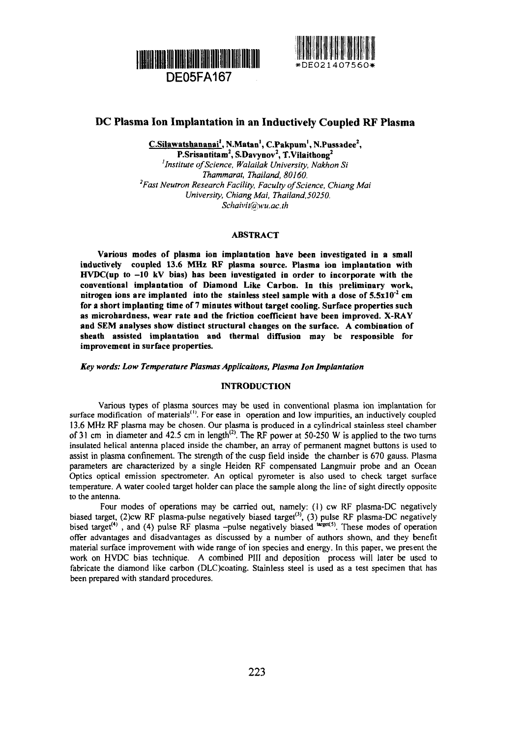



# **DC Plasma Ion Implantation in an Inductively Coupled RF Plasma**

**C.Silawatshananai', N.Matan<sup>1</sup> , C.Pakpum', N.Pussadee<sup>2</sup> , P.Srisantitam<sup>2</sup> , S.Davynov<sup>2</sup> , T.Vilaithong<sup>2</sup>** *'institute of Science, Walailak University, Nakhon Si Thammarat, Thailand, 80160. 2 Fast Neutron Research Facility, Faculty of Science, Chiang Mai University, Chiang Mai, Thailand.50250. SchaivitCäM'u.ac.th*

### **ABSTRACT**

**Various modes of plasma ion implantation have been investigated in a small inductively coupled 13.6 MHz RF plasma source. Plasma ion implantation with HVDC(up to -10 kV bias) has been investigated in order to incorporate with the conventional implantation of Diamond Like Carbon. In this preliminary work, nitrogen ions are implanted into the stainless steel sample with a dose of 5.5xlO'<sup>2</sup> cm for a short implanting time of 7 minutes without target cooling. Surface properties such as microhardness, wear rate and the friction coefficient have been improved. X-RAY and SEM analyses show distinct structural changes on the surface. A combination of sheath assisted implantation and thermal diffusion may be responsible for improvement in surface properties.**

*Key words: Low Temperature Plasmas Applications, Plasma Ion Implantation*

#### **INTRODUCTION**

Various types of plasma sources may be used in conventional plasma ion implantation for surface modification of materials<sup>(1)</sup>. For ease in operation and low impurities, an inductively coupled 13.6 MHz RF plasma may be chosen. Our plasma is produced in a cylindrical stainless steel chamber of 31 cm in diameter and 42.5 cm in length<sup>(2)</sup>. The RF power at 50-250 W is applied to the two turns insulated helical antenna placed inside the chamber, an array of permanent magnet buttons is used to assist in plasma confinement. The strength of the cusp field inside the chamber is 670 gauss. Plasma parameters are characterized by a single Heiden RF compensated Langmuir probe and an Ocean Optics optical emission spectrometer. An optical pyrometer is also used to check target surface temperature. A water cooled target holder can place the sample along the line of sight directly opposite to the antenna.

Four modes of operations may be carried out, namely: (1) cw RF plasma-DC negatively biased target, (2)cw RF plasma-pulse negatively biased target<sup>(3)</sup>, (3) pulse RF plasma-DC negatively bised target<sup>(4)</sup>, and (4) pulse RF plasma -pulse negatively biased <sup>target(5)</sup>. These modes of operatior offer advantages and disadvantages as discussed by a number of authors shown, and they benefit material surface improvement with wide range of ion species and energy. In this paper, we present the work on HVDC bias technique. A combined PHI and deposition process will later be used to fabricate the diamond like carbon (DLC)coating. Stainless steel is used as a test specimen that has been prepared with standard procedures.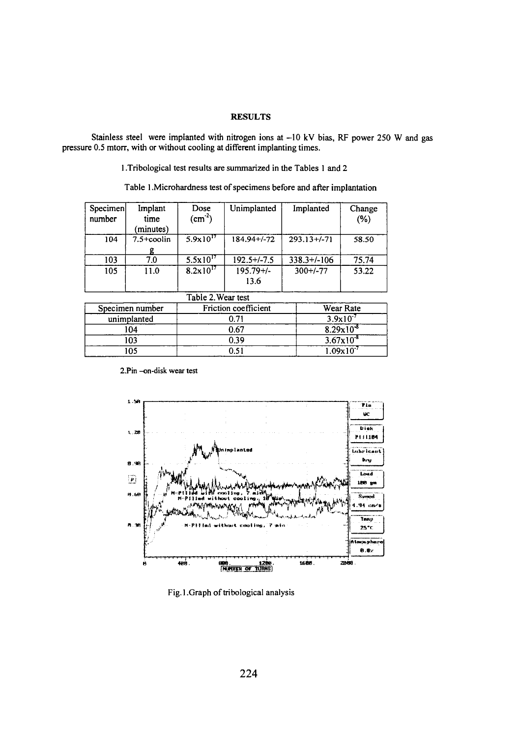## **RESULTS**

Stainless steel were implanted with nitrogen ions at -10 kV bias, RF power 250 W and gas pressure 0.5 mtorr, with or without cooling at different implanting times.

1. Tribological test results are summarized in the Tables 1 and 2

Table 1. Microhardness test of specimens before and after implantation

| Specimen<br>number | Implant<br>time<br>minutes) | Dose<br>$(cm-2)$     | Unimplanted          | Implanted       | Change<br>$(\%)$ |
|--------------------|-----------------------------|----------------------|----------------------|-----------------|------------------|
| 104                | $7.5 +$ coolin              | $5.9x10^{17}$        | $184.94 + (-72)$     | $293.13 + (-7)$ | 58.50            |
| 103                | 7.0                         | $5.5x10^{17}$        | $192.5 + (-7.5)$     | $338.3+/-106$   | 75.74            |
| 105                | 11.0                        | $8.2 \times 10^{17}$ | $195.79 +/-$<br>13.6 | $300+/-77$      | 53.22            |
|                    |                             | Table 2. Wear test   |                      |                 |                  |

| $10010 + 1100$  |                      |                       |  |  |  |
|-----------------|----------------------|-----------------------|--|--|--|
| Specimen number | Friction coefficient | Wear Rate             |  |  |  |
| unimplanted     | ገ 71                 | $3.9x10^{-7}$         |  |  |  |
| 104             | 0.67                 | $8.29x10^{-8}$        |  |  |  |
| 103             | 0.39                 | $3.67 \times 10^{-8}$ |  |  |  |
| 105             |                      | $1.09x10^{-7}$        |  |  |  |

<sup>2.</sup>Pin-on-disk wear test



Fig.1.Graph of tribological analysis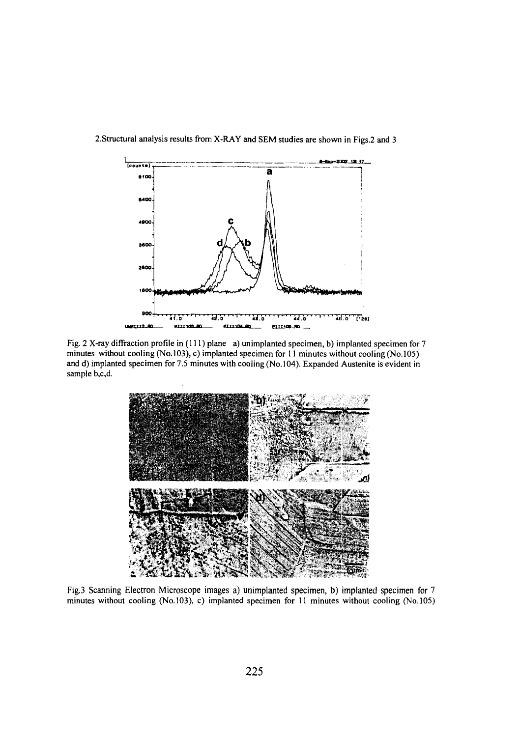

## 2.Structural analysis results from X-RAY and SEM studies are shown in Figs.2 and 3

Fig. 2 X-ray diffraction profile in (111) plane a) unimplanted specimen, b) implanted specimen for 7 minutes without cooling (No.103), c) implanted specimen for 11 minutes without cooling (No.105) and d) implanted specimen for 7.5 minutes with cooling (No. 104). Expanded Austenite is evident in sample b,c,d.



Fig.3 Scanning Electron Microscope images a) unimplanted specimen, b) implanted specimen for 7 minutes without cooling (No.103), c) implanted specimen for 11 minutes without cooling (No.105)